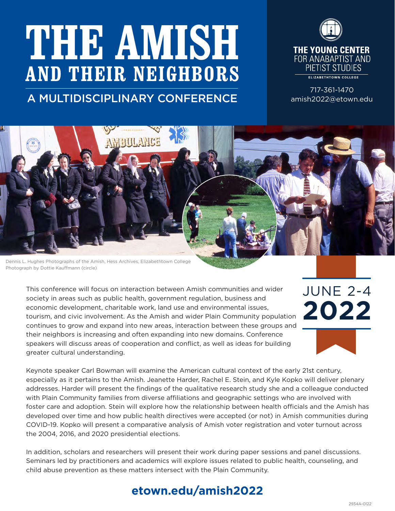# **THE AMISH AND THEIR NEIGHBORS**

## A MULTIDISCIPLINARY CONFERENCE

**AMAIN ANCE** 



717-361-1470 amish2022@etown.edu

JUNE 2-4

**2022**

Dennis L. Hughes Photographs of the Amish, Hess Archives, Elizabethtown College Photograph by Dottie Kauffmann (circle)

This conference will focus on interaction between Amish communities and wider society in areas such as public health, government regulation, business and economic development, charitable work, land use and environmental issues, tourism, and civic involvement. As the Amish and wider Plain Community population continues to grow and expand into new areas, interaction between these groups and their neighbors is increasing and often expanding into new domains. Conference speakers will discuss areas of cooperation and conflict, as well as ideas for building greater cultural understanding.

Keynote speaker Carl Bowman will examine the American cultural context of the early 21st century, especially as it pertains to the Amish. Jeanette Harder, Rachel E. Stein, and Kyle Kopko will deliver plenary addresses. Harder will present the findings of the qualitative research study she and a colleague conducted with Plain Community families from diverse affiliations and geographic settings who are involved with foster care and adoption. Stein will explore how the relationship between health officials and the Amish has developed over time and how public health directives were accepted (or not) in Amish communities during COVID-19. Kopko will present a comparative analysis of Amish voter registration and voter turnout across the 2004, 2016, and 2020 presidential elections.

In addition, scholars and researchers will present their work during paper sessions and panel discussions. Seminars led by practitioners and academics will explore issues related to public health, counseling, and child abuse prevention as these matters intersect with the Plain Community.

## **etown.edu/amish2022**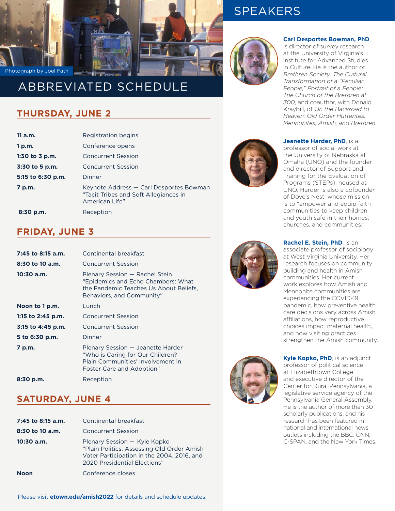

# SPEAKERS



#### **Carl Desportes Bowman, PhD**,

is director of survey research at the University of Virginia's Institute for Advanced Studies in Culture. He is the author of *Brethren Society: The Cultural Transformation of a "Peculiar People," Portrait of a People: The Church of the Brethren at 300*, and coauthor, with Donald Kraybill, of *On the Backroad to Heaven: Old Order Hutterites, Mennonites, Amish, and Brethren*.

#### **THURSDAY, JUNE 2**

Photograph by Joel Fath

| 11a.m.            | Registration begins                                                                                |  |  |  |  |
|-------------------|----------------------------------------------------------------------------------------------------|--|--|--|--|
| 1 p.m.            | Conference opens                                                                                   |  |  |  |  |
| 1:30 to $3$ p.m.  | <b>Concurrent Session</b>                                                                          |  |  |  |  |
| 3:30 to 5 p.m.    | <b>Concurrent Session</b>                                                                          |  |  |  |  |
| 5:15 to 6:30 p.m. | Dinner                                                                                             |  |  |  |  |
| 7 p.m.            | Keynote Address – Carl Desportes Bowman<br>"Tacit Tribes and Soft Allegiances in<br>American Life" |  |  |  |  |
| $8:30$ p.m.       | Reception                                                                                          |  |  |  |  |

#### **FRIDAY, JUNE 3**

| 7:45 to 8:15 a.m.   | Continental breakfast                                                                                                                       |  |  |  |  |
|---------------------|---------------------------------------------------------------------------------------------------------------------------------------------|--|--|--|--|
| $8:30$ to 10 a.m.   | Concurrent Session                                                                                                                          |  |  |  |  |
| $10:30$ a.m.        | Plenary Session - Rachel Stein<br>"Epidemics and Echo Chambers: What<br>the Pandemic Teaches Us About Beliefs,<br>Behaviors, and Community" |  |  |  |  |
| Noon to 1 p.m.      | Lunch                                                                                                                                       |  |  |  |  |
| 1:15 to 2:45 p.m.   | <b>Concurrent Session</b>                                                                                                                   |  |  |  |  |
| $3:15$ to 4:45 p.m. | <b>Concurrent Session</b>                                                                                                                   |  |  |  |  |
| 5 to 6:30 p.m.      | Dinner                                                                                                                                      |  |  |  |  |
| 7 p.m.              | Plenary Session — Jeanette Harder<br>"Who is Caring for Our Children?<br>Plain Communities' Involvement in<br>Foster Care and Adoption"     |  |  |  |  |
| $8:30$ p.m.         | Reception                                                                                                                                   |  |  |  |  |

#### **SATURDAY, JUNE 4**

| 7:45 to 8:15 a.m.<br>$8:30$ to 10 a.m. | Continental breakfast<br><b>Concurrent Session</b>                                                                                                       |  |  |  |  |
|----------------------------------------|----------------------------------------------------------------------------------------------------------------------------------------------------------|--|--|--|--|
| $10:30$ a.m.                           | Plenary Session - Kyle Kopko<br>"Plain Politics: Assessing Old Order Amish<br>Voter Participation in the 2004, 2016, and<br>2020 Presidential Elections" |  |  |  |  |
| <b>Noon</b>                            | Conference closes                                                                                                                                        |  |  |  |  |



**Jeanette Harder, PhD**, is a professor of social work at the University of Nebraska at Omaha (UNO) and the founder and director of Support and Training for the Evaluation of Programs (STEPs), housed at UNO. Harder is also a cofounder of Dove's Nest, whose mission is to "empower and equip faith communities to keep children and youth safe in their homes, churches, and communities."



**Rachel E. Stein, PhD**, is an associate professor of sociology at West Virginia University. Her research focuses on community building and health in Amish communities. Her current work explores how Amish and Mennonite communities are experiencing the COVID-19 pandemic, how preventive health care decisions vary across Amish affiliations, how reproductive choices impact maternal health, and how visiting practices strengthen the Amish community.



**Kyle Kopko, PhD**, is an adjunct professor of political science at Elizabethtown College and executive director of the Center for Rural Pennsylvania, a legislative service agency of the Pennsylvania General Assembly. He is the author of more than 30 scholarly publications, and his research has been featured in national and international news outlets including the BBC, CNN, C-SPAN, and the New York Times.

Please visit **etown.edu/amish2022** for details and schedule updates.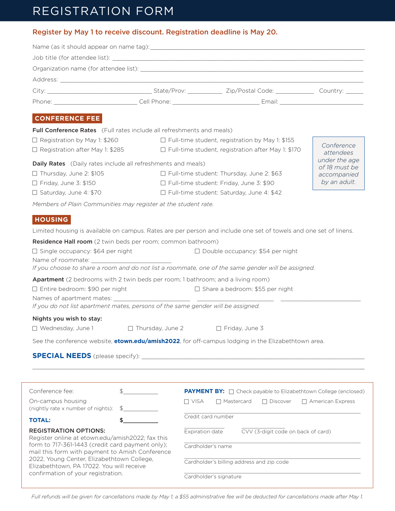# REGISTRATION FORM

|                                                                                                       |                         | Register by May 1 to receive discount. Registration deadline is May 20.                                           |  |  |  |  |
|-------------------------------------------------------------------------------------------------------|-------------------------|-------------------------------------------------------------------------------------------------------------------|--|--|--|--|
|                                                                                                       |                         |                                                                                                                   |  |  |  |  |
|                                                                                                       |                         |                                                                                                                   |  |  |  |  |
|                                                                                                       |                         |                                                                                                                   |  |  |  |  |
|                                                                                                       |                         |                                                                                                                   |  |  |  |  |
|                                                                                                       |                         |                                                                                                                   |  |  |  |  |
|                                                                                                       |                         |                                                                                                                   |  |  |  |  |
| <b>CONFERENCE FEE</b>                                                                                 |                         |                                                                                                                   |  |  |  |  |
| <b>Full Conference Rates</b> (Full rates include all refreshments and meals)                          |                         |                                                                                                                   |  |  |  |  |
| $\Box$ Registration by May 1: \$260                                                                   |                         | $\Box$ Full-time student, registration by May 1: \$155                                                            |  |  |  |  |
|                                                                                                       |                         | □ Registration after May 1: \$285 □ Full-time student, registration after May 1: \$170                            |  |  |  |  |
| under the age<br><b>Daily Rates</b> (Daily rates include all refreshments and meals)<br>of 18 must be |                         |                                                                                                                   |  |  |  |  |
| $\Box$ Thursday, June 2: \$105                                                                        |                         | $\Box$ Full-time student: Thursday, June 2: \$63                                                                  |  |  |  |  |
| $\Box$ Friday, June 3: \$150                                                                          |                         | □ Full-time student: Friday, June 3: \$90                                                                         |  |  |  |  |
| □ Saturday, June 4: \$70                                                                              |                         | □ Full-time student: Saturday, June 4: \$42                                                                       |  |  |  |  |
| Members of Plain Communities may register at the student rate.                                        |                         |                                                                                                                   |  |  |  |  |
| <b>HOUSING</b>                                                                                        |                         |                                                                                                                   |  |  |  |  |
|                                                                                                       |                         | Limited housing is available on campus. Rates are per person and include one set of towels and one set of linens. |  |  |  |  |
| Residence Hall room (2 twin beds per room; common bathroom)                                           |                         |                                                                                                                   |  |  |  |  |
| $\Box$ Single occupancy: \$64 per night                                                               |                         |                                                                                                                   |  |  |  |  |
|                                                                                                       |                         |                                                                                                                   |  |  |  |  |
|                                                                                                       |                         | If you choose to share a room and do not list a roommate, one of the same gender will be assigned.                |  |  |  |  |
| Apartment (2 bedrooms with 2 twin beds per room; 1 bathroom; and a living room)                       |                         |                                                                                                                   |  |  |  |  |
| $\Box$ Entire bedroom: \$90 per night                                                                 |                         | $\Box$ Share a bedroom: \$55 per night                                                                            |  |  |  |  |
| If you do not list apartment mates, persons of the same gender will be assigned.                      |                         |                                                                                                                   |  |  |  |  |
| Nights you wish to stay:                                                                              |                         |                                                                                                                   |  |  |  |  |
| □ Wednesday, June 1                                                                                   | $\Box$ Thursday, June 2 | $\Box$ Friday, June 3                                                                                             |  |  |  |  |
|                                                                                                       |                         | See the conference website, <b>etown.edu/amish2022</b> , for off-campus lodging in the Elizabethtown area.        |  |  |  |  |
|                                                                                                       |                         |                                                                                                                   |  |  |  |  |
|                                                                                                       |                         |                                                                                                                   |  |  |  |  |

| Conference fee:                                                                                                                                                                                                                                                                                                          |               | <b>PAYMENT BY:</b> $\Box$ Check payable to Elizabethtown College (enclosed) |              |  |                 |                         |  |
|--------------------------------------------------------------------------------------------------------------------------------------------------------------------------------------------------------------------------------------------------------------------------------------------------------------------------|---------------|-----------------------------------------------------------------------------|--------------|--|-----------------|-------------------------|--|
| On-campus housing<br>(nightly rate x number of nights):                                                                                                                                                                                                                                                                  | $\mathcal{R}$ | n visa                                                                      | □ Mastercard |  | $\Box$ Discover | $\Box$ American Express |  |
| <b>TOTAL:</b>                                                                                                                                                                                                                                                                                                            |               | Credit card number                                                          |              |  |                 |                         |  |
| <b>REGISTRATION OPTIONS:</b><br>Register online at etown.edu/amish2022; fax this<br>form to 717-361-1443 (credit card payment only);<br>mail this form with payment to Amish Conference<br>2022, Young Center, Elizabethtown College,<br>Elizabethtown, PA 17022. You will receive<br>confirmation of your registration. |               | CVV (3-digit code on back of card)<br>Expiration date                       |              |  |                 |                         |  |
|                                                                                                                                                                                                                                                                                                                          |               | Cardholder's name                                                           |              |  |                 |                         |  |
|                                                                                                                                                                                                                                                                                                                          |               | Cardholder's billing address and zip code                                   |              |  |                 |                         |  |
|                                                                                                                                                                                                                                                                                                                          |               | Cardholder's signature                                                      |              |  |                 |                         |  |

*Full refunds will be given for cancellations made by May 1; a \$55 administrative fee will be deducted for cancellations made after May 1.*